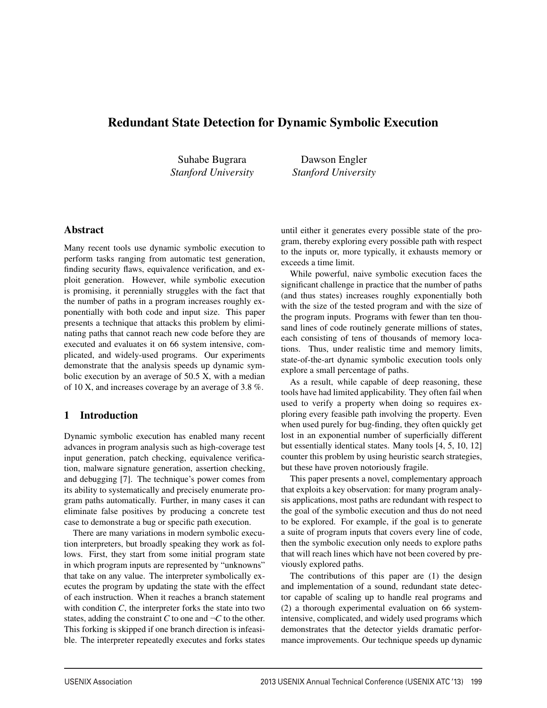# Redundant State Detection for Dynamic Symbolic Execution

Suhabe Bugrara *Stanford University*

Dawson Engler *Stanford University*

### Abstract

Many recent tools use dynamic symbolic execution to perform tasks ranging from automatic test generation, finding security flaws, equivalence verification, and exploit generation. However, while symbolic execution is promising, it perennially struggles with the fact that the number of paths in a program increases roughly exponentially with both code and input size. This paper presents a technique that attacks this problem by eliminating paths that cannot reach new code before they are executed and evaluates it on 66 system intensive, complicated, and widely-used programs. Our experiments demonstrate that the analysis speeds up dynamic symbolic execution by an average of 50.5 X, with a median of 10 X, and increases coverage by an average of 3.8 %.

## 1 Introduction

Dynamic symbolic execution has enabled many recent advances in program analysis such as high-coverage test input generation, patch checking, equivalence verification, malware signature generation, assertion checking, and debugging [7]. The technique's power comes from its ability to systematically and precisely enumerate program paths automatically. Further, in many cases it can eliminate false positives by producing a concrete test case to demonstrate a bug or specific path execution.

There are many variations in modern symbolic execution interpreters, but broadly speaking they work as follows. First, they start from some initial program state in which program inputs are represented by "unknowns" that take on any value. The interpreter symbolically executes the program by updating the state with the effect of each instruction. When it reaches a branch statement with condition *C*, the interpreter forks the state into two states, adding the constraint  $C$  to one and  $\neg C$  to the other. This forking is skipped if one branch direction is infeasible. The interpreter repeatedly executes and forks states until either it generates every possible state of the program, thereby exploring every possible path with respect to the inputs or, more typically, it exhausts memory or exceeds a time limit.

While powerful, naive symbolic execution faces the significant challenge in practice that the number of paths (and thus states) increases roughly exponentially both with the size of the tested program and with the size of the program inputs. Programs with fewer than ten thousand lines of code routinely generate millions of states, each consisting of tens of thousands of memory locations. Thus, under realistic time and memory limits, state-of-the-art dynamic symbolic execution tools only explore a small percentage of paths.

As a result, while capable of deep reasoning, these tools have had limited applicability. They often fail when used to verify a property when doing so requires exploring every feasible path involving the property. Even when used purely for bug-finding, they often quickly get lost in an exponential number of superficially different but essentially identical states. Many tools [4, 5, 10, 12] counter this problem by using heuristic search strategies, but these have proven notoriously fragile.

This paper presents a novel, complementary approach that exploits a key observation: for many program analysis applications, most paths are redundant with respect to the goal of the symbolic execution and thus do not need to be explored. For example, if the goal is to generate a suite of program inputs that covers every line of code, then the symbolic execution only needs to explore paths that will reach lines which have not been covered by previously explored paths.

The contributions of this paper are (1) the design and implementation of a sound, redundant state detector capable of scaling up to handle real programs and (2) a thorough experimental evaluation on 66 systemintensive, complicated, and widely used programs which demonstrates that the detector yields dramatic performance improvements. Our technique speeds up dynamic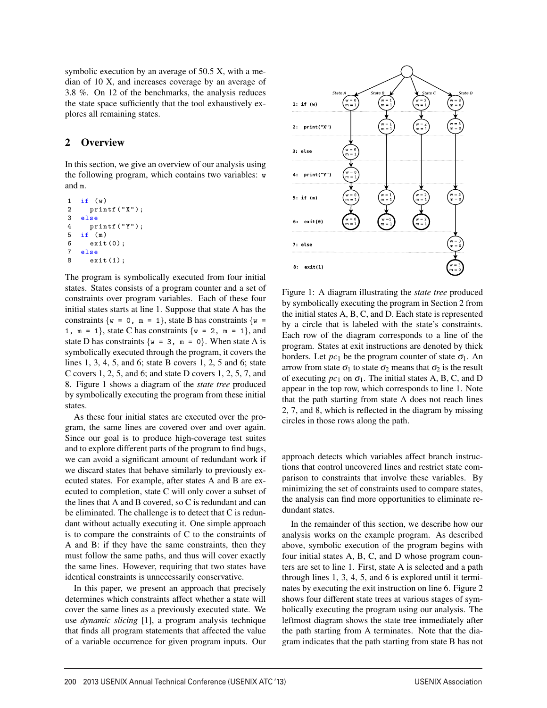symbolic execution by an average of 50.5 X, with a median of 10 X, and increases coverage by an average of 3.8 %. On 12 of the benchmarks, the analysis reduces the state space sufficiently that the tool exhaustively explores all remaining states.

## 2 Overview

In this section, we give an overview of our analysis using the following program, which contains two variables: w and m.

```
1 if (w)2 printf("X");
3 else
4 printf("Y");
5 if (m)
6 exit(0);
7 else
8 exit(1);
```
The program is symbolically executed from four initial states. States consists of a program counter and a set of constraints over program variables. Each of these four initial states starts at line 1. Suppose that state A has the constraints  $\{w = 0, m = 1\}$ , state B has constraints  $\{w =$ 1,  $m = 1$ , state C has constraints  $\{w = 2, m = 1\}$ , and state D has constraints  $\{w = 3, m = 0\}$ . When state A is symbolically executed through the program, it covers the lines 1, 3, 4, 5, and 6; state B covers 1, 2, 5 and 6; state C covers 1, 2, 5, and 6; and state D covers 1, 2, 5, 7, and 8. Figure 1 shows a diagram of the *state tree* produced by symbolically executing the program from these initial states.

As these four initial states are executed over the program, the same lines are covered over and over again. Since our goal is to produce high-coverage test suites and to explore different parts of the program to find bugs, we can avoid a significant amount of redundant work if we discard states that behave similarly to previously executed states. For example, after states A and B are executed to completion, state C will only cover a subset of the lines that A and B covered, so C is redundant and can be eliminated. The challenge is to detect that C is redundant without actually executing it. One simple approach is to compare the constraints of C to the constraints of A and B: if they have the same constraints, then they must follow the same paths, and thus will cover exactly the same lines. However, requiring that two states have identical constraints is unnecessarily conservative.

In this paper, we present an approach that precisely determines which constraints affect whether a state will cover the same lines as a previously executed state. We use *dynamic slicing* [1], a program analysis technique that finds all program statements that affected the value of a variable occurrence for given program inputs. Our



Figure 1: A diagram illustrating the *state tree* produced by symbolically executing the program in Section 2 from the initial states A, B, C, and D. Each state is represented by a circle that is labeled with the state's constraints. Each row of the diagram corresponds to a line of the program. States at exit instructions are denoted by thick borders. Let  $pc_1$  be the program counter of state  $\sigma_1$ . An arrow from state  $\sigma_1$  to state  $\sigma_2$  means that  $\sigma_2$  is the result of executing  $pc_1$  on  $\sigma_1$ . The initial states A, B, C, and D appear in the top row, which corresponds to line 1. Note that the path starting from state A does not reach lines 2, 7, and 8, which is reflected in the diagram by missing circles in those rows along the path.

approach detects which variables affect branch instructions that control uncovered lines and restrict state comparison to constraints that involve these variables. By minimizing the set of constraints used to compare states, the analysis can find more opportunities to eliminate redundant states.

In the remainder of this section, we describe how our analysis works on the example program. As described above, symbolic execution of the program begins with four initial states A, B, C, and D whose program counters are set to line 1. First, state A is selected and a path through lines 1, 3, 4, 5, and 6 is explored until it terminates by executing the exit instruction on line 6. Figure 2 shows four different state trees at various stages of symbolically executing the program using our analysis. The leftmost diagram shows the state tree immediately after the path starting from A terminates. Note that the diagram indicates that the path starting from state B has not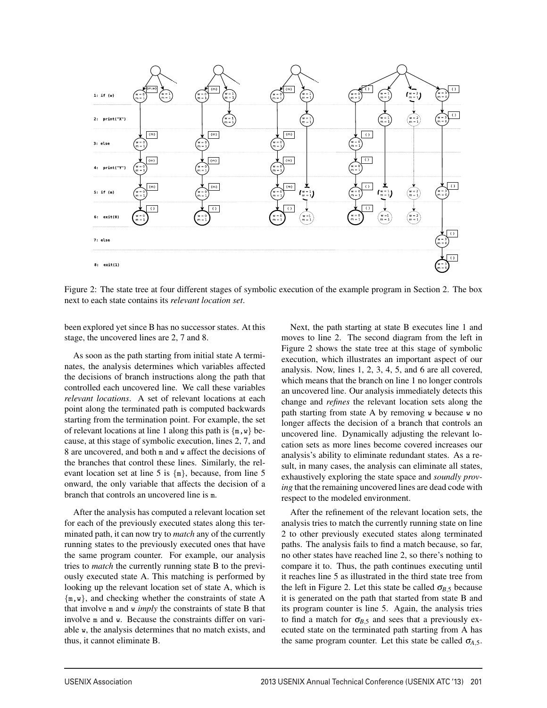

Figure 2: The state tree at four different stages of symbolic execution of the example program in Section 2. The box next to each state contains its *relevant location set*.

3

been explored yet since B has no successor states. At this stage, the uncovered lines are 2, 7 and 8.

As soon as the path starting from initial state A terminates, the analysis determines which variables affected the decisions of branch instructions along the path that controlled each uncovered line. We call these variables *relevant locations*. A set of relevant locations at each point along the terminated path is computed backwards starting from the termination point. For example, the set of relevant locations at line 1 along this path is  $\{m, w\}$  because, at this stage of symbolic execution, lines 2, 7, and 8 are uncovered, and both m and w affect the decisions of the branches that control these lines. Similarly, the relevant location set at line 5 is  $\{m\}$ , because, from line 5 onward, the only variable that affects the decision of a branch that controls an uncovered line is m.

After the analysis has computed a relevant location set for each of the previously executed states along this terminated path, it can now try to *match* any of the currently running states to the previously executed ones that have the same program counter. For example, our analysis tries to *match* the currently running state B to the previously executed state A. This matching is performed by looking up the relevant location set of state A, which is {m,w}, and checking whether the constraints of state A that involve m and w *imply* the constraints of state B that involve m and w. Because the constraints differ on variable w, the analysis determines that no match exists, and thus, it cannot eliminate B.

Next, the path starting at state B executes line 1 and moves to line 2. The second diagram from the left in Figure 2 shows the state tree at this stage of symbolic execution, which illustrates an important aspect of our analysis. Now, lines 1, 2, 3, 4, 5, and 6 are all covered, which means that the branch on line 1 no longer controls an uncovered line. Our analysis immediately detects this change and *refines* the relevant location sets along the path starting from state A by removing w because w no longer affects the decision of a branch that controls an uncovered line. Dynamically adjusting the relevant location sets as more lines become covered increases our analysis's ability to eliminate redundant states. As a result, in many cases, the analysis can eliminate all states, exhaustively exploring the state space and *soundly proving* that the remaining uncovered lines are dead code with respect to the modeled environment.

After the refinement of the relevant location sets, the analysis tries to match the currently running state on line 2 to other previously executed states along terminated paths. The analysis fails to find a match because, so far, no other states have reached line 2, so there's nothing to compare it to. Thus, the path continues executing until it reaches line 5 as illustrated in the third state tree from the left in Figure 2. Let this state be called  $\sigma_{B,5}$  because it is generated on the path that started from state B and its program counter is line 5. Again, the analysis tries to find a match for  $\sigma_{B,5}$  and sees that a previously executed state on the terminated path starting from A has the same program counter. Let this state be called  $\sigma_{A,5}$ .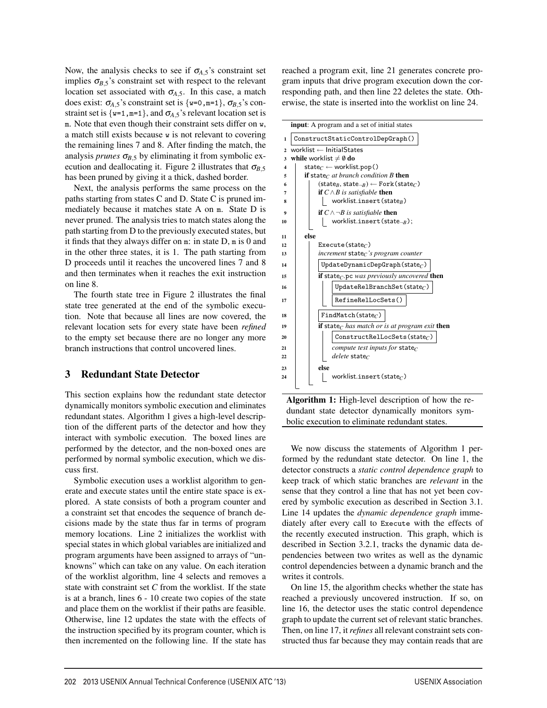Now, the analysis checks to see if  $\sigma_{A,5}$ 's constraint set implies  $\sigma_{B,5}$ 's constraint set with respect to the relevant location set associated with  $\sigma$ <sub>A,5</sub>. In this case, a match does exist:  $\sigma_{A,5}$ 's constraint set is {w=0,m=1},  $\sigma_{B,5}$ 's constraint set is  $\{w=1, m=1\}$ , and  $\sigma_{A,5}$ 's relevant location set is m. Note that even though their constraint sets differ on w, a match still exists because w is not relevant to covering the remaining lines 7 and 8. After finding the match, the analysis *prunes*  $\sigma_{B,5}$  by eliminating it from symbolic execution and deallocating it. Figure 2 illustrates that  $\sigma_{B,5}$ has been pruned by giving it a thick, dashed border.

Next, the analysis performs the same process on the paths starting from states C and D. State C is pruned immediately because it matches state A on m. State D is never pruned. The analysis tries to match states along the path starting from D to the previously executed states, but it finds that they always differ on m: in state D, m is 0 and in the other three states, it is 1. The path starting from D proceeds until it reaches the uncovered lines 7 and 8 and then terminates when it reaches the exit instruction on line 8.

The fourth state tree in Figure 2 illustrates the final state tree generated at the end of the symbolic execution. Note that because all lines are now covered, the relevant location sets for every state have been *refined* to the empty set because there are no longer any more branch instructions that control uncovered lines.

### 3 Redundant State Detector

This section explains how the redundant state detector dynamically monitors symbolic execution and eliminates redundant states. Algorithm 1 gives a high-level description of the different parts of the detector and how they interact with symbolic execution. The boxed lines are performed by the detector, and the non-boxed ones are performed by normal symbolic execution, which we discuss first.

Symbolic execution uses a worklist algorithm to generate and execute states until the entire state space is explored. A state consists of both a program counter and a constraint set that encodes the sequence of branch decisions made by the state thus far in terms of program memory locations. Line 2 initializes the worklist with special states in which global variables are initialized and program arguments have been assigned to arrays of "unknowns" which can take on any value. On each iteration of the worklist algorithm, line 4 selects and removes a state with constraint set *C* from the worklist. If the state is at a branch, lines 6 - 10 create two copies of the state and place them on the worklist if their paths are feasible. Otherwise, line 12 updates the state with the effects of the instruction specified by its program counter, which is then incremented on the following line. If the state has

reached a program exit, line 21 generates concrete program inputs that drive program execution down the corresponding path, and then line 22 deletes the state. Otherwise, the state is inserted into the worklist on line 24.

|                         | <b>input:</b> A program and a set of initial states                                          |  |  |  |  |  |  |  |  |
|-------------------------|----------------------------------------------------------------------------------------------|--|--|--|--|--|--|--|--|
| 1                       | ConstructStaticControlDepGraph()                                                             |  |  |  |  |  |  |  |  |
| $\overline{2}$          | worklist $\leftarrow$ InitialStates                                                          |  |  |  |  |  |  |  |  |
| 3                       | while worklist $\neq \emptyset$ do                                                           |  |  |  |  |  |  |  |  |
| $\overline{\mathbf{4}}$ | state $c \leftarrow$ worklist.pop()                                                          |  |  |  |  |  |  |  |  |
| 5                       | <b>if</b> state <sub>C</sub> at branch condition B then                                      |  |  |  |  |  |  |  |  |
| 6                       | $(\mathsf{state}_{B}, \mathsf{state}_{\neg B}) \leftarrow \mathsf{Fork}(\mathsf{state}_{C})$ |  |  |  |  |  |  |  |  |
| 7                       | <b>if</b> $C \wedge B$ is satisfiable <b>then</b>                                            |  |  |  |  |  |  |  |  |
| 8                       | worklist.insert(state <sub>B</sub> )                                                         |  |  |  |  |  |  |  |  |
| 9                       | <b>if</b> $C \wedge \neg B$ is satisfiable <b>then</b>                                       |  |  |  |  |  |  |  |  |
| 10                      | worklist.insert(state <sub><math>\neg B</math></sub> );                                      |  |  |  |  |  |  |  |  |
| 11                      | else                                                                                         |  |  |  |  |  |  |  |  |
| 12                      | Execute (state $_C$ )                                                                        |  |  |  |  |  |  |  |  |
| 13                      | increment state <sub>C</sub> 's program counter                                              |  |  |  |  |  |  |  |  |
| 14                      | $UpdateDynamicDepGraph(stateC)$                                                              |  |  |  |  |  |  |  |  |
| 15                      | <b>if</b> state <sub>C</sub> .pc was previously uncovered <b>then</b>                        |  |  |  |  |  |  |  |  |
|                         | $UpdateRelBranchSet(\text{state}_{C})$                                                       |  |  |  |  |  |  |  |  |
| 16                      |                                                                                              |  |  |  |  |  |  |  |  |
| 17                      | RefineRelLocSets()                                                                           |  |  |  |  |  |  |  |  |
| 18                      | FindMatch(state <sub>C</sub> )                                                               |  |  |  |  |  |  |  |  |
| 19                      | if state <sub>C</sub> has match or is at program exit then                                   |  |  |  |  |  |  |  |  |
|                         |                                                                                              |  |  |  |  |  |  |  |  |
| 20                      | $ConstructReILockets(state_C)$                                                               |  |  |  |  |  |  |  |  |
| 21                      | compute test inputs for state <sub>C</sub>                                                   |  |  |  |  |  |  |  |  |
| 22                      | <i>delete</i> state $\epsilon$                                                               |  |  |  |  |  |  |  |  |
| 23                      | else                                                                                         |  |  |  |  |  |  |  |  |
| 24                      | worklist.insert(state $_C$ )                                                                 |  |  |  |  |  |  |  |  |
|                         |                                                                                              |  |  |  |  |  |  |  |  |



We now discuss the statements of Algorithm 1 performed by the redundant state detector. On line 1, the detector constructs a *static control dependence graph* to keep track of which static branches are *relevant* in the sense that they control a line that has not yet been covered by symbolic execution as described in Section 3.1. Line 14 updates the *dynamic dependence graph* immediately after every call to Execute with the effects of the recently executed instruction. This graph, which is described in Section 3.2.1, tracks the dynamic data dependencies between two writes as well as the dynamic control dependencies between a dynamic branch and the writes it controls.

On line 15, the algorithm checks whether the state has reached a previously uncovered instruction. If so, on line 16, the detector uses the static control dependence graph to update the current set of relevant static branches. Then, on line 17, it*refines* all relevant constraint sets constructed thus far because they may contain reads that are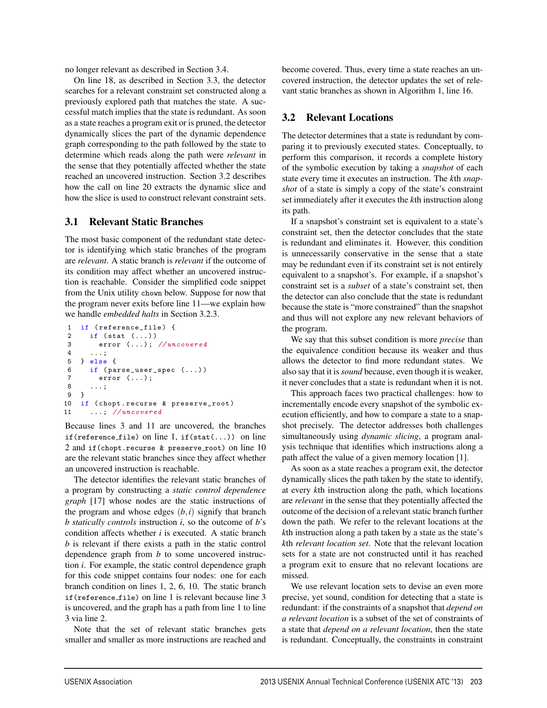no longer relevant as described in Section 3.4.

On line 18, as described in Section 3.3, the detector searches for a relevant constraint set constructed along a previously explored path that matches the state. A successful match implies that the state is redundant. As soon as a state reaches a program exit or is pruned, the detector dynamically slices the part of the dynamic dependence graph corresponding to the path followed by the state to determine which reads along the path were *relevant* in the sense that they potentially affected whether the state reached an uncovered instruction. Section 3.2 describes how the call on line 20 extracts the dynamic slice and how the slice is used to construct relevant constraint sets.

### 3.1 Relevant Static Branches

The most basic component of the redundant state detector is identifying which static branches of the program are *relevant*. A static branch is *relevant* if the outcome of its condition may affect whether an uncovered instruction is reachable. Consider the simplified code snippet from the Unix utility chown below. Suppose for now that the program never exits before line 11—we explain how we handle *embedded halts* in Section 3.2.3.

```
1 if (reference_file) {<br>2 if (stat (\ldots))
      if (stat (\ldots))3 error (...); // uncovered
4 ...;
5 } else {
6 if (parse_user_spec (\ldots))<br>7 error (\cdot).
         error ( \ldots );
8 ...;
9 }
10 if (chopt.recurse & preserve_root)
11 ...; // uncovered
```
Because lines 3 and 11 are uncovered, the branches if(reference file) on line 1, if(stat(...)) on line 2 and if(chopt.recurse & preserve\_root) on line 10 are the relevant static branches since they affect whether an uncovered instruction is reachable.

The detector identifies the relevant static branches of a program by constructing a *static control dependence graph* [17] whose nodes are the static instructions of the program and whose edges  $(b, i)$  signify that branch *b statically controls* instruction *i*, so the outcome of *b*'s condition affects whether *i* is executed. A static branch *b* is relevant if there exists a path in the static control dependence graph from *b* to some uncovered instruction *i*. For example, the static control dependence graph for this code snippet contains four nodes: one for each branch condition on lines 1, 2, 6, 10. The static branch if(reference file) on line 1 is relevant because line 3 is uncovered, and the graph has a path from line 1 to line 3 via line 2.

Note that the set of relevant static branches gets smaller and smaller as more instructions are reached and

become covered. Thus, every time a state reaches an uncovered instruction, the detector updates the set of relevant static branches as shown in Algorithm 1, line 16.

## 3.2 Relevant Locations

The detector determines that a state is redundant by comparing it to previously executed states. Conceptually, to perform this comparison, it records a complete history of the symbolic execution by taking a *snapshot* of each state every time it executes an instruction. The *k*th *snapshot* of a state is simply a copy of the state's constraint set immediately after it executes the *k*th instruction along its path.

If a snapshot's constraint set is equivalent to a state's constraint set, then the detector concludes that the state is redundant and eliminates it. However, this condition is unnecessarily conservative in the sense that a state may be redundant even if its constraint set is not entirely equivalent to a snapshot's. For example, if a snapshot's constraint set is a *subset* of a state's constraint set, then the detector can also conclude that the state is redundant because the state is "more constrained" than the snapshot and thus will not explore any new relevant behaviors of the program.

We say that this subset condition is more *precise* than the equivalence condition because its weaker and thus allows the detector to find more redundant states. We also say that it is*sound* because, even though it is weaker, it never concludes that a state is redundant when it is not.

This approach faces two practical challenges: how to incrementally encode every snapshot of the symbolic execution efficiently, and how to compare a state to a snapshot precisely. The detector addresses both challenges simultaneously using *dynamic slicing*, a program analysis technique that identifies which instructions along a path affect the value of a given memory location [1].

As soon as a state reaches a program exit, the detector dynamically slices the path taken by the state to identify, at every *k*th instruction along the path, which locations are *relevant* in the sense that they potentially affected the outcome of the decision of a relevant static branch further down the path. We refer to the relevant locations at the *k*th instruction along a path taken by a state as the state's *k*th *relevant location set*. Note that the relevant location sets for a state are not constructed until it has reached a program exit to ensure that no relevant locations are missed.

We use relevant location sets to devise an even more precise, yet sound, condition for detecting that a state is redundant: if the constraints of a snapshot that *depend on a relevant location* is a subset of the set of constraints of a state that *depend on a relevant location*, then the state is redundant. Conceptually, the constraints in constraint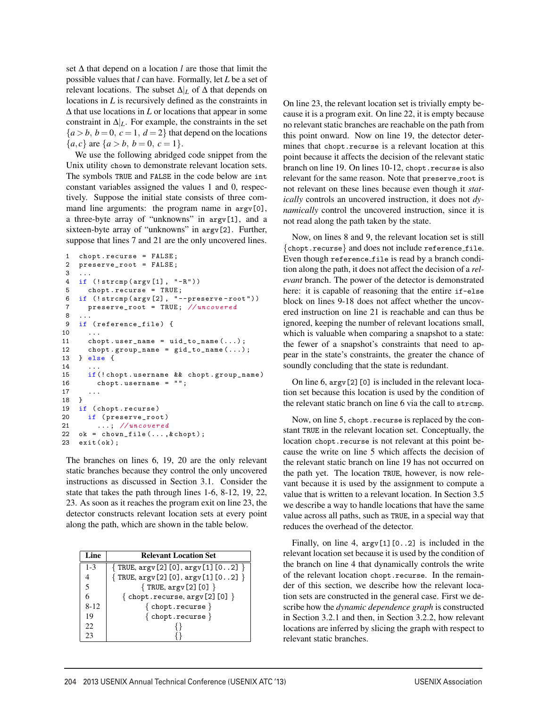set ∆ that depend on a location *l* are those that limit the possible values that *l* can have. Formally, let *L* be a set of relevant locations. The subset ∆|*<sup>L</sup>* of ∆ that depends on locations in *L* is recursively defined as the constraints in ∆ that use locations in *L* or locations that appear in some constraint in  $\Delta|_L$ . For example, the constraints in the set  ${a > b, b = 0, c = 1, d = 2}$  that depend on the locations  ${a, c}$  are  ${a > b, b = 0, c = 1}.$ 

We use the following abridged code snippet from the Unix utility chown to demonstrate relevant location sets. The symbols TRUE and FALSE in the code below are int constant variables assigned the values 1 and 0, respectively. Suppose the initial state consists of three command line arguments: the program name in  $\arg v[0]$ , a three-byte array of "unknowns" in argv[1], and a sixteen-byte array of "unknowns" in argv[2]. Further, suppose that lines 7 and 21 are the only uncovered lines.

```
1 chopt.recurse = FALSE;<br>2 preserve_root = FALSE;
    preserve\_root = FALSE;\ensuremath{\mathsf{3}}4 if (!strcmp(argv[1], "-R"))
 5 chopt.recurse = TRUE;
 6 if (!strcmp(argv[2], "--preserve -root"))
 7 preserve_root = TRUE; //uncovered
 8
9 if (reference_file) {
10
11 chopt . user_name = uid_to_name (...);
12 chopt . group_name = gid\_to\_name(...);13 } else {
14 ...
15 if (!chopt.username && chopt.group_name)
16 chopt . username = "";
17 ...
18 }
19 if (chopt.recurse)
20 if (preserve_root)
21 ...; // uncovered
22 \quad \text{ok} = \text{chown\_file}(...,\& \text{chopt});23 exit ( ok );
```
The branches on lines 6, 19, 20 are the only relevant static branches because they control the only uncovered instructions as discussed in Section 3.1. Consider the state that takes the path through lines 1-6, 8-12, 19, 22, 23. As soon as it reaches the program exit on line 23, the detector constructs relevant location sets at every point along the path, which are shown in the table below.

| Line.                    | <b>Relevant Location Set</b>                |
|--------------------------|---------------------------------------------|
| $1 - 3$                  | $\{$ TRUE, $\arg(y[2][0], \arg(y[1][02])\}$ |
|                          | $\{ TRUE, argv[2][0], argv[1][02] \}$       |
| $\overline{\phantom{1}}$ | $\{ TRUE, argv[2][0] \}$                    |
|                          | $\{$ chopt.recurse, $\arg v$ [2] [0] $\}$   |
| $8 - 12$                 | $\{$ chopt.recurse $\}$                     |
| 19                       | $\{ \text{chopt}.\text{recursive} \}$       |
| 22                       |                                             |
| 23                       |                                             |

On line 23, the relevant location set is trivially empty because it is a program exit. On line 22, it is empty because no relevant static branches are reachable on the path from this point onward. Now on line 19, the detector determines that chopt.recurse is a relevant location at this point because it affects the decision of the relevant static branch on line 19. On lines 10-12, chopt.recurse is also relevant for the same reason. Note that preserve root is not relevant on these lines because even though it *statically* controls an uncovered instruction, it does not *dynamically* control the uncovered instruction, since it is not read along the path taken by the state.

Now, on lines 8 and 9, the relevant location set is still {chopt.recurse} and does not include reference file. Even though reference file is read by a branch condition along the path, it does not affect the decision of a *relevant* branch. The power of the detector is demonstrated here: it is capable of reasoning that the entire if-else block on lines 9-18 does not affect whether the uncovered instruction on line 21 is reachable and can thus be ignored, keeping the number of relevant locations small, which is valuable when comparing a snapshot to a state: the fewer of a snapshot's constraints that need to appear in the state's constraints, the greater the chance of soundly concluding that the state is redundant.

On line  $6$ ,  $\arg v$ [2][0] is included in the relevant location set because this location is used by the condition of the relevant static branch on line 6 via the call to strcmp.

Now, on line 5, chopt.recurse is replaced by the constant TRUE in the relevant location set. Conceptually, the location chopt.recurse is not relevant at this point because the write on line 5 which affects the decision of the relevant static branch on line 19 has not occurred on the path yet. The location TRUE, however, is now relevant because it is used by the assignment to compute a value that is written to a relevant location. In Section 3.5 we describe a way to handle locations that have the same value across all paths, such as TRUE, in a special way that reduces the overhead of the detector.

Finally, on line 4,  $argv[1][0..2]$  is included in the relevant location set because it is used by the condition of the branch on line 4 that dynamically controls the write of the relevant location chopt.recurse. In the remainder of this section, we describe how the relevant location sets are constructed in the general case. First we describe how the *dynamic dependence graph* is constructed in Section 3.2.1 and then, in Section 3.2.2, how relevant locations are inferred by slicing the graph with respect to relevant static branches.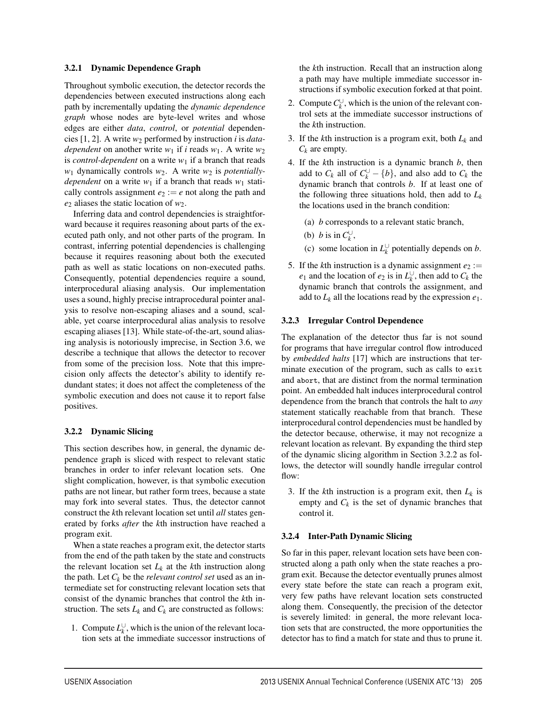#### 3.2.1 Dynamic Dependence Graph

Throughout symbolic execution, the detector records the dependencies between executed instructions along each path by incrementally updating the *dynamic dependence graph* whose nodes are byte-level writes and whose edges are either *data*, *control*, or *potential* dependencies [1, 2]. A write  $w_2$  performed by instruction *i* is *datadependent* on another write  $w_1$  if *i* reads  $w_1$ . A write  $w_2$ is *control-dependent* on a write  $w_1$  if a branch that reads *w*<sub>1</sub> dynamically controls *w*<sub>2</sub>. A write *w*<sub>2</sub> is *potentiallydependent* on a write  $w_1$  if a branch that reads  $w_1$  statically controls assignment  $e_2 := e$  not along the path and  $e_2$  aliases the static location of  $w_2$ .

Inferring data and control dependencies is straightforward because it requires reasoning about parts of the executed path only, and not other parts of the program. In contrast, inferring potential dependencies is challenging because it requires reasoning about both the executed path as well as static locations on non-executed paths. Consequently, potential dependencies require a sound, interprocedural aliasing analysis. Our implementation uses a sound, highly precise intraprocedural pointer analysis to resolve non-escaping aliases and a sound, scalable, yet coarse interprocedural alias analysis to resolve escaping aliases [13]. While state-of-the-art, sound aliasing analysis is notoriously imprecise, in Section 3.6, we describe a technique that allows the detector to recover from some of the precision loss. Note that this imprecision only affects the detector's ability to identify redundant states; it does not affect the completeness of the symbolic execution and does not cause it to report false positives.

#### 3.2.2 Dynamic Slicing

This section describes how, in general, the dynamic dependence graph is sliced with respect to relevant static branches in order to infer relevant location sets. One slight complication, however, is that symbolic execution paths are not linear, but rather form trees, because a state may fork into several states. Thus, the detector cannot construct the *k*th relevant location set until *all* states generated by forks *after* the *k*th instruction have reached a program exit.

When a state reaches a program exit, the detector starts from the end of the path taken by the state and constructs the relevant location set  $L_k$  at the  $k$ th instruction along the path. Let  $C_k$  be the *relevant control set* used as an intermediate set for constructing relevant location sets that consist of the dynamic branches that control the *k*th instruction. The sets  $L_k$  and  $C_k$  are constructed as follows:

1. Compute  $L_k^{\cup}$ , which is the union of the relevant location sets at the immediate successor instructions of the *k*th instruction. Recall that an instruction along a path may have multiple immediate successor instructions if symbolic execution forked at that point.

- 2. Compute  $C_k^{\cup}$ , which is the union of the relevant control sets at the immediate successor instructions of the *k*th instruction.
- 3. If the *k*th instruction is a program exit, both *Lk* and  $C_k$  are empty.
- 4. If the *k*th instruction is a dynamic branch *b*, then add to  $C_k$  all of  $C_k^{\cup} - \{b\}$ , and also add to  $C_k$  the dynamic branch that controls *b*. If at least one of the following three situations hold, then add to  $L_k$ the locations used in the branch condition:
	- (a) *b* corresponds to a relevant static branch,
	- (b) *b* is in  $C_k^{\cup}$ ,
	- (c) some location in  $L_k^{\cup}$  potentially depends on *b*.
- 5. If the *k*th instruction is a dynamic assignment  $e_2$  := *e*<sub>1</sub> and the location of *e*<sub>2</sub> is in  $L_k^{\cup}$ , then add to  $C_k$  the dynamic branch that controls the assignment, and add to  $L_k$  all the locations read by the expression  $e_1$ .

#### 3.2.3 Irregular Control Dependence

The explanation of the detector thus far is not sound for programs that have irregular control flow introduced by *embedded halts* [17] which are instructions that terminate execution of the program, such as calls to exit and abort, that are distinct from the normal termination point. An embedded halt induces interprocedural control dependence from the branch that controls the halt to *any* statement statically reachable from that branch. These interprocedural control dependencies must be handled by the detector because, otherwise, it may not recognize a relevant location as relevant. By expanding the third step of the dynamic slicing algorithm in Section 3.2.2 as follows, the detector will soundly handle irregular control flow:

3. If the *k*th instruction is a program exit, then  $L_k$  is empty and  $C_k$  is the set of dynamic branches that control it.

#### 3.2.4 Inter-Path Dynamic Slicing

1

So far in this paper, relevant location sets have been constructed along a path only when the state reaches a program exit. Because the detector eventually prunes almost every state before the state can reach a program exit, very few paths have relevant location sets constructed along them. Consequently, the precision of the detector is severely limited: in general, the more relevant location sets that are constructed, the more opportunities the detector has to find a match for state and thus to prune it.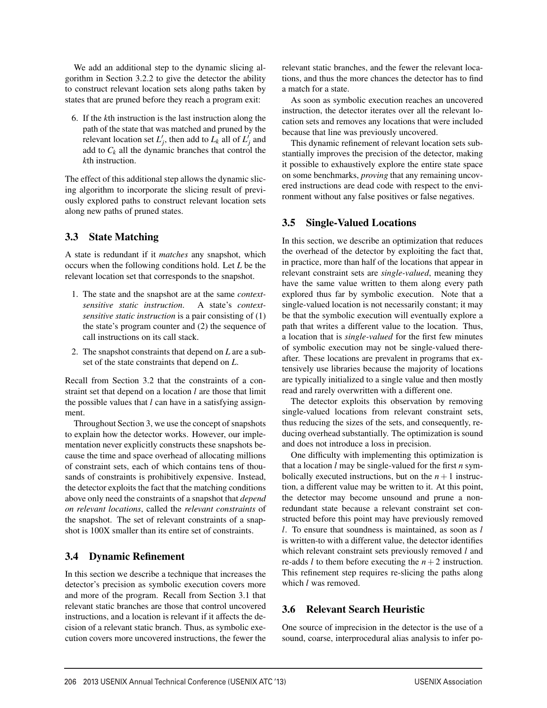We add an additional step to the dynamic slicing algorithm in Section 3.2.2 to give the detector the ability to construct relevant location sets along paths taken by states that are pruned before they reach a program exit:

6. If the *k*th instruction is the last instruction along the path of the state that was matched and pruned by the relevant location set  $L'_j$ , then add to  $L_k$  all of  $L'_j$  and add to  $C_k$  all the dynamic branches that control the *k*th instruction.

The effect of this additional step allows the dynamic slicing algorithm to incorporate the slicing result of previously explored paths to construct relevant location sets along new paths of pruned states.

# 3.3 State Matching

A state is redundant if it *matches* any snapshot, which occurs when the following conditions hold. Let *L* be the relevant location set that corresponds to the snapshot.

- 1. The state and the snapshot are at the same *contextsensitive static instruction*. A state's *contextsensitive static instruction* is a pair consisting of (1) the state's program counter and (2) the sequence of call instructions on its call stack.
- 2. The snapshot constraints that depend on *L* are a subset of the state constraints that depend on *L*.

Recall from Section 3.2 that the constraints of a constraint set that depend on a location *l* are those that limit the possible values that *l* can have in a satisfying assignment.

Throughout Section 3, we use the concept of snapshots to explain how the detector works. However, our implementation never explicitly constructs these snapshots because the time and space overhead of allocating millions of constraint sets, each of which contains tens of thousands of constraints is prohibitively expensive. Instead, the detector exploits the fact that the matching conditions above only need the constraints of a snapshot that *depend on relevant locations*, called the *relevant constraints* of the snapshot. The set of relevant constraints of a snapshot is 100X smaller than its entire set of constraints.

# 3.4 Dynamic Refinement

In this section we describe a technique that increases the detector's precision as symbolic execution covers more and more of the program. Recall from Section 3.1 that relevant static branches are those that control uncovered instructions, and a location is relevant if it affects the decision of a relevant static branch. Thus, as symbolic execution covers more uncovered instructions, the fewer the

relevant static branches, and the fewer the relevant locations, and thus the more chances the detector has to find a match for a state.

As soon as symbolic execution reaches an uncovered instruction, the detector iterates over all the relevant location sets and removes any locations that were included because that line was previously uncovered.

This dynamic refinement of relevant location sets substantially improves the precision of the detector, making it possible to exhaustively explore the entire state space on some benchmarks, *proving* that any remaining uncovered instructions are dead code with respect to the environment without any false positives or false negatives.

## 3.5 Single-Valued Locations

In this section, we describe an optimization that reduces the overhead of the detector by exploiting the fact that, in practice, more than half of the locations that appear in relevant constraint sets are *single-valued*, meaning they have the same value written to them along every path explored thus far by symbolic execution. Note that a single-valued location is not necessarily constant; it may be that the symbolic execution will eventually explore a path that writes a different value to the location. Thus, a location that is *single-valued* for the first few minutes of symbolic execution may not be single-valued thereafter. These locations are prevalent in programs that extensively use libraries because the majority of locations are typically initialized to a single value and then mostly read and rarely overwritten with a different one.

The detector exploits this observation by removing single-valued locations from relevant constraint sets, thus reducing the sizes of the sets, and consequently, reducing overhead substantially. The optimization is sound and does not introduce a loss in precision.

One difficulty with implementing this optimization is that a location *l* may be single-valued for the first *n* symbolically executed instructions, but on the  $n+1$  instruction, a different value may be written to it. At this point, the detector may become unsound and prune a nonredundant state because a relevant constraint set constructed before this point may have previously removed *l*. To ensure that soundness is maintained, as soon as *l* is written-to with a different value, the detector identifies which relevant constraint sets previously removed *l* and re-adds *l* to them before executing the  $n+2$  instruction. This refinement step requires re-slicing the paths along which *l* was removed.

# 3.6 Relevant Search Heuristic

8

One source of imprecision in the detector is the use of a sound, coarse, interprocedural alias analysis to infer po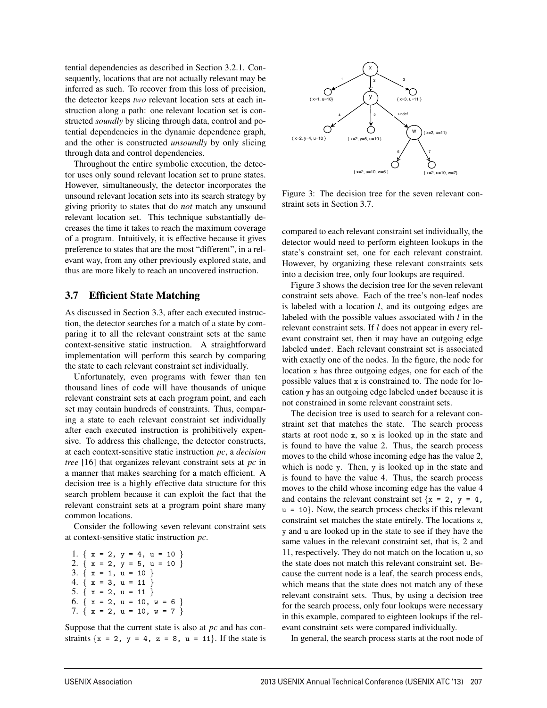tential dependencies as described in Section 3.2.1. Consequently, locations that are not actually relevant may be inferred as such. To recover from this loss of precision, the detector keeps *two* relevant location sets at each instruction along a path: one relevant location set is constructed *soundly* by slicing through data, control and potential dependencies in the dynamic dependence graph, and the other is constructed *unsoundly* by only slicing through data and control dependencies.

Throughout the entire symbolic execution, the detector uses only sound relevant location set to prune states. However, simultaneously, the detector incorporates the unsound relevant location sets into its search strategy by giving priority to states that do *not* match any unsound relevant location set. This technique substantially decreases the time it takes to reach the maximum coverage of a program. Intuitively, it is effective because it gives preference to states that are the most "different", in a relevant way, from any other previously explored state, and thus are more likely to reach an uncovered instruction.

### 3.7 Efficient State Matching

As discussed in Section 3.3, after each executed instruction, the detector searches for a match of a state by comparing it to all the relevant constraint sets at the same context-sensitive static instruction. A straightforward implementation will perform this search by comparing the state to each relevant constraint set individually.

Unfortunately, even programs with fewer than ten thousand lines of code will have thousands of unique relevant constraint sets at each program point, and each set may contain hundreds of constraints. Thus, comparing a state to each relevant constraint set individually after each executed instruction is prohibitively expensive. To address this challenge, the detector constructs, at each context-sensitive static instruction *pc*, a *decision tree* [16] that organizes relevant constraint sets at *pc* in a manner that makes searching for a match efficient. A decision tree is a highly effective data structure for this search problem because it can exploit the fact that the relevant constraint sets at a program point share many common locations.

Consider the following seven relevant constraint sets at context-sensitive static instruction *pc*.

|  |  |  |                          |  | 1. $\{x = 2, y = 4, u = 10\}$   |  |
|--|--|--|--------------------------|--|---------------------------------|--|
|  |  |  |                          |  | 2. $\{ x = 2, y = 5, u = 10 \}$ |  |
|  |  |  | 3. $\{ x = 1, u = 10 \}$ |  |                                 |  |
|  |  |  | 4. $\{x = 3, u = 11\}$   |  |                                 |  |
|  |  |  | 5. $\{ x = 2, u = 11 \}$ |  |                                 |  |
|  |  |  |                          |  | 6. $\{ x = 2, u = 10, w = 6 \}$ |  |
|  |  |  |                          |  | 7. $\{ x = 2, u = 10, w = 7 \}$ |  |
|  |  |  |                          |  |                                 |  |

Suppose that the current state is also at *pc* and has constraints  $\{x = 2, y = 4, z = 8, u = 11\}$ . If the state is



Figure 3: The decision tree for the seven relevant constraint sets in Section 3.7.

compared to each relevant constraint set individually, the detector would need to perform eighteen lookups in the state's constraint set, one for each relevant constraint. However, by organizing these relevant constraints sets into a decision tree, only four lookups are required.

Figure 3 shows the decision tree for the seven relevant constraint sets above. Each of the tree's non-leaf nodes is labeled with a location *l*, and its outgoing edges are labeled with the possible values associated with *l* in the relevant constraint sets. If *l* does not appear in every relevant constraint set, then it may have an outgoing edge labeled undef. Each relevant constraint set is associated with exactly one of the nodes. In the figure, the node for location x has three outgoing edges, one for each of the possible values that x is constrained to. The node for location y has an outgoing edge labeled undef because it is not constrained in some relevant constraint sets.

The decision tree is used to search for a relevant constraint set that matches the state. The search process starts at root node x, so x is looked up in the state and is found to have the value 2. Thus, the search process moves to the child whose incoming edge has the value 2, which is node y. Then, y is looked up in the state and is found to have the value 4. Thus, the search process moves to the child whose incoming edge has the value 4 and contains the relevant constraint set  $\{x = 2, y = 4,$  $u = 10$ . Now, the search process checks if this relevant constraint set matches the state entirely. The locations x, y and u are looked up in the state to see if they have the same values in the relevant constraint set, that is, 2 and 11, respectively. They do not match on the location u, so the state does not match this relevant constraint set. Because the current node is a leaf, the search process ends, which means that the state does not match any of these relevant constraint sets. Thus, by using a decision tree for the search process, only four lookups were necessary in this example, compared to eighteen lookups if the relevant constraint sets were compared individually.

In general, the search process starts at the root node of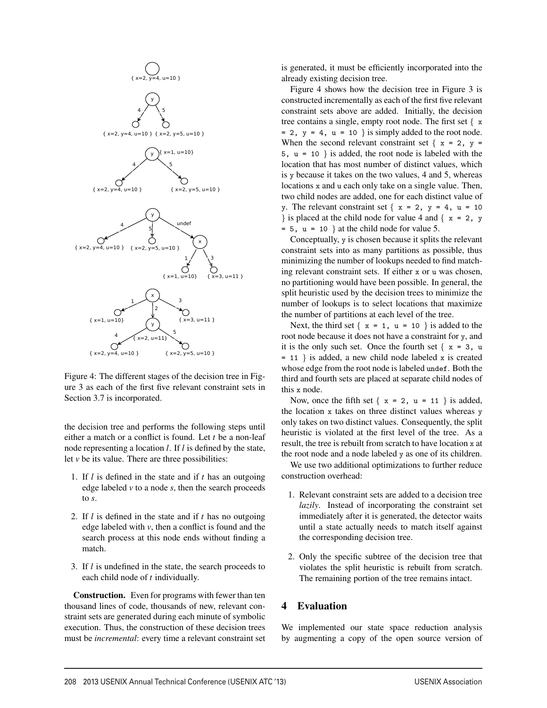

Figure 4: The different stages of the decision tree in Figure 3 as each of the first five relevant constraint sets in Section 3.7 is incorporated.

the decision tree and performs the following steps until either a match or a conflict is found. Let *t* be a non-leaf node representing a location *l*. If *l* is defined by the state, let  $\nu$  be its value. There are three possibilities:

- 1. If *l* is defined in the state and if *t* has an outgoing edge labeled *v* to a node *s*, then the search proceeds to *s*.
- 2. If *l* is defined in the state and if *t* has no outgoing edge labeled with *v*, then a conflict is found and the search process at this node ends without finding a match.
- 3. If *l* is undefined in the state, the search proceeds to each child node of *t* individually.

Construction. Even for programs with fewer than ten thousand lines of code, thousands of new, relevant constraint sets are generated during each minute of symbolic execution. Thus, the construction of these decision trees must be *incremental*: every time a relevant constraint set

is generated, it must be efficiently incorporated into the already existing decision tree.

Figure 4 shows how the decision tree in Figure 3 is constructed incrementally as each of the first five relevant constraint sets above are added. Initially, the decision tree contains a single, empty root node. The first set { x  $= 2$ ,  $y = 4$ ,  $u = 10$  } is simply added to the root node. When the second relevant constraint set  $\{x = 2, y =$ 5,  $u = 10$  } is added, the root node is labeled with the location that has most number of distinct values, which is y because it takes on the two values, 4 and 5, whereas locations x and u each only take on a single value. Then, two child nodes are added, one for each distinct value of y. The relevant constraint set  $\{x = 2, y = 4, u = 10\}$ } is placed at the child node for value 4 and  $\{x = 2, y\}$  $= 5$ ,  $u = 10$  } at the child node for value 5.

Conceptually, y is chosen because it splits the relevant constraint sets into as many partitions as possible, thus minimizing the number of lookups needed to find matching relevant constraint sets. If either x or u was chosen, no partitioning would have been possible. In general, the split heuristic used by the decision trees to minimize the number of lookups is to select locations that maximize the number of partitions at each level of the tree.

Next, the third set  $\{x = 1, u = 10\}$  is added to the root node because it does not have a constraint for y, and it is the only such set. Once the fourth set  $\{x = 3, u\}$  $= 11$  } is added, a new child node labeled x is created whose edge from the root node is labeled undef. Both the third and fourth sets are placed at separate child nodes of this x node.

Now, once the fifth set  $\{x = 2, u = 11\}$  is added, the location x takes on three distinct values whereas y only takes on two distinct values. Consequently, the split heuristic is violated at the first level of the tree. As a result, the tree is rebuilt from scratch to have location x at the root node and a node labeled y as one of its children.

We use two additional optimizations to further reduce construction overhead:

- 1. Relevant constraint sets are added to a decision tree *lazily*. Instead of incorporating the constraint set immediately after it is generated, the detector waits until a state actually needs to match itself against the corresponding decision tree.
- 2. Only the specific subtree of the decision tree that violates the split heuristic is rebuilt from scratch. The remaining portion of the tree remains intact.

### 4 Evaluation

 $\overline{1}$ 

We implemented our state space reduction analysis by augmenting a copy of the open source version of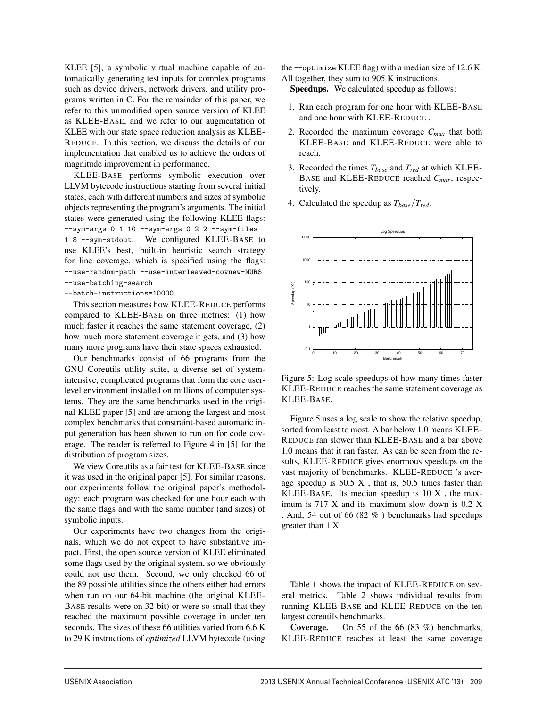KLEE [5], a symbolic virtual machine capable of automatically generating test inputs for complex programs such as device drivers, network drivers, and utility programs written in C. For the remainder of this paper, we refer to this unmodified open source version of KLEE as KLEE-BASE, and we refer to our augmentation of KLEE with our state space reduction analysis as KLEE-REDUCE. In this section, we discuss the details of our implementation that enabled us to achieve the orders of magnitude improvement in performance.

KLEE-BASE performs symbolic execution over LLVM bytecode instructions starting from several initial states, each with different numbers and sizes of symbolic objects representing the program's arguments. The initial states were generated using the following KLEE flags: --sym-args 0 1 10 --sym-args 0 2 2 --sym-files 1 8 --sym-stdout. We configured KLEE-BASE to use KLEE's best, built-in heuristic search strategy for line coverage, which is specified using the flags: --use-random-path --use-interleaved-covnew-NURS --use-batching-search

--batch-instructions=10000.

This section measures how KLEE-REDUCE performs compared to KLEE-BASE on three metrics: (1) how much faster it reaches the same statement coverage, (2) how much more statement coverage it gets, and (3) how many more programs have their state spaces exhausted.

Our benchmarks consist of 66 programs from the GNU Coreutils utility suite, a diverse set of systemintensive, complicated programs that form the core userlevel environment installed on millions of computer systems. They are the same benchmarks used in the original KLEE paper [5] and are among the largest and most complex benchmarks that constraint-based automatic input generation has been shown to run on for code coverage. The reader is referred to Figure 4 in [5] for the distribution of program sizes.

We view Coreutils as a fair test for KLEE-BASE since it was used in the original paper [5]. For similar reasons, our experiments follow the original paper's methodology: each program was checked for one hour each with the same flags and with the same number (and sizes) of symbolic inputs.

Our experiments have two changes from the originals, which we do not expect to have substantive impact. First, the open source version of KLEE eliminated some flags used by the original system, so we obviously could not use them. Second, we only checked 66 of the 89 possible utilities since the others either had errors when run on our 64-bit machine (the original KLEE-BASE results were on 32-bit) or were so small that they reached the maximum possible coverage in under ten seconds. The sizes of these 66 utilities varied from 6.6 K to 29 K instructions of *optimized* LLVM bytecode (using

the --optimize KLEE flag) with a median size of 12.6 K. All together, they sum to 905 K instructions.

Speedups. We calculated speedup as follows:

- 1. Ran each program for one hour with KLEE-BASE and one hour with KLEE-REDUCE .
- 2. Recorded the maximum coverage *Cmax* that both KLEE-BASE and KLEE-REDUCE were able to reach.
- 3. Recorded the times  $T_{base}$  and  $T_{red}$  at which KLEE-BASE and KLEE-REDUCE reached *Cmax*, respectively.
- 4. Calculated the speedup as *Tbase*/*Tred*.



Figure 5: Log-scale speedups of how many times faster KLEE-REDUCE reaches the same statement coverage as KLEE-BASE.

Figure 5 uses a log scale to show the relative speedup, sorted from least to most. A bar below 1.0 means KLEE-REDUCE ran slower than KLEE-BASE and a bar above 1.0 means that it ran faster. As can be seen from the results, KLEE-REDUCE gives enormous speedups on the vast majority of benchmarks. KLEE-REDUCE 's average speedup is  $50.5 \text{ X}$ , that is,  $50.5$  times faster than KLEE-BASE. Its median speedup is 10 X , the maximum is 717 X and its maximum slow down is 0.2 X . And, 54 out of 66 (82 % ) benchmarks had speedups greater than 1 X.

Table 1 shows the impact of KLEE-REDUCE on several metrics. Table 2 shows individual results from running KLEE-BASE and KLEE-REDUCE on the ten largest coreutils benchmarks.

Coverage. On 55 of the 66 (83 %) benchmarks, KLEE-REDUCE reaches at least the same coverage

 $\overline{1}$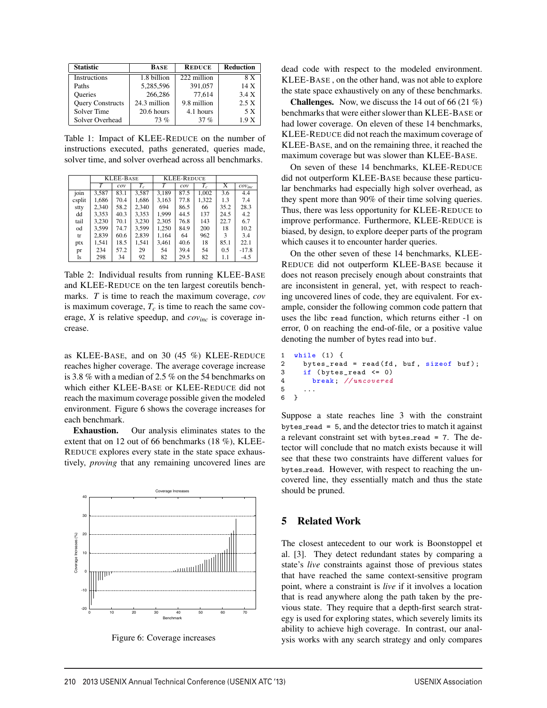| <b>Statistic</b>        | <b>BASE</b>  | <b>REDUCE</b> | <b>Reduction</b> |
|-------------------------|--------------|---------------|------------------|
| Instructions            | 1.8 billion  | 222 million   | 8 X              |
| Paths                   | 5,285,596    | 391,057       | 14 X             |
| <b>Oueries</b>          | 266,286      | 77.614        | 3.4 X            |
| <b>Query Constructs</b> | 24.3 million | 9.8 million   | 2.5 X            |
| Solver Time             | 20.6 hours   | 4.1 hours     | 5 X              |
| Solver Overhead         | 73%          | 37%           | 1.9 X            |

Table 1: Impact of KLEE-REDUCE on the number of instructions executed, paths generated, queries made, solver time, and solver overhead across all benchmarks.

|        |       | <b>KLEE-BASE</b> |       |       | <b>KLEE-REDUCE</b> |       |      |                       |
|--------|-------|------------------|-------|-------|--------------------|-------|------|-----------------------|
|        | T     | cov              | $T_c$ | T     | cov                | $T_c$ | X    | $\mathcal{cov}_{inc}$ |
| join   | 3,587 | 83.1             | 3,587 | 3.189 | 87.5               | 1.002 | 3.6  | 4.4                   |
| csplit | 1,686 | 70.4             | 1,686 | 3,163 | 77.8               | 1,322 | 1.3  | 7.4                   |
| stty   | 2.340 | 58.2             | 2,340 | 694   | 86.5               | 66    | 35.2 | 28.3                  |
| dd     | 3,353 | 40.3             | 3,353 | 1.999 | 44.5               | 137   | 24.5 | 4.2                   |
| tail   | 3,230 | 70.1             | 3,230 | 2.305 | 76.8               | 143   | 22.7 | 6.7                   |
| od     | 3.599 | 74.7             | 3.599 | 1,250 | 84.9               | 200   | 18   | 10.2                  |
| tr     | 2,839 | 60.6             | 2,839 | 1.164 | 64                 | 962   | 3    | 3.4                   |
| ptx    | 1.541 | 18.5             | 1.541 | 3.461 | 40.6               | 18    | 85.1 | 22.1                  |
| pr     | 234   | 57.2             | 29    | 54    | 39.4               | 54    | 0.5  | $-17.8$               |
| ls     | 298   | 34               | 92    | 82    | 29.5               | 82    | 1.1  | $-4.5$                |

Table 2: Individual results from running KLEE-BASE and KLEE-REDUCE on the ten largest coreutils benchmarks. *T* is time to reach the maximum coverage, *cov* is maximum coverage,  $T_c$  is time to reach the same coverage, *X* is relative speedup, and *covinc* is coverage increase.

as KLEE-BASE, and on 30 (45 %) KLEE-REDUCE reaches higher coverage. The average coverage increase is 3.8 % with a median of 2.5 % on the 54 benchmarks on which either KLEE-BASE or KLEE-REDUCE did not reach the maximum coverage possible given the modeled environment. Figure 6 shows the coverage increases for each benchmark.

Exhaustion. Our analysis eliminates states to the extent that on 12 out of 66 benchmarks (18 %), KLEE-REDUCE explores every state in the state space exhaustively, *proving* that any remaining uncovered lines are



Figure 6: Coverage increases

dead code with respect to the modeled environment. KLEE-BASE , on the other hand, was not able to explore the state space exhaustively on any of these benchmarks.

**Challenges.** Now, we discuss the 14 out of 66 (21 %) benchmarks that were either slower than KLEE-BASE or had lower coverage. On eleven of these 14 benchmarks, KLEE-REDUCE did not reach the maximum coverage of KLEE-BASE, and on the remaining three, it reached the maximum coverage but was slower than KLEE-BASE.

On seven of these 14 benchmarks, KLEE-REDUCE did not outperform KLEE-BASE because these particular benchmarks had especially high solver overhead, as they spent more than 90% of their time solving queries. Thus, there was less opportunity for KLEE-REDUCE to improve performance. Furthermore, KLEE-REDUCE is biased, by design, to explore deeper parts of the program which causes it to encounter harder queries.

On the other seven of these 14 benchmarks, KLEE-REDUCE did not outperform KLEE-BASE because it does not reason precisely enough about constraints that are inconsistent in general, yet, with respect to reaching uncovered lines of code, they are equivalent. For example, consider the following common code pattern that uses the libc read function, which returns either -1 on error, 0 on reaching the end-of-file, or a positive value denoting the number of bytes read into buf.

```
1 while (1) {<br>2 bytes_read
     bytes_read = read(fd, buf, sizeof buf);
3 if (bytes_read <= 0)
4 break ; // uncovered
5 ...
6 }
```
Suppose a state reaches line 3 with the constraint bytes\_read =  $5$ , and the detector tries to match it against a relevant constraint set with bytes\_read = 7. The detector will conclude that no match exists because it will see that these two constraints have different values for bytes read. However, with respect to reaching the uncovered line, they essentially match and thus the state should be pruned.

#### 5 Related Work

12

The closest antecedent to our work is Boonstoppel et al. [3]. They detect redundant states by comparing a state's *live* constraints against those of previous states that have reached the same context-sensitive program point, where a constraint is *live* if it involves a location that is read anywhere along the path taken by the previous state. They require that a depth-first search strategy is used for exploring states, which severely limits its ability to achieve high coverage. In contrast, our analysis works with any search strategy and only compares